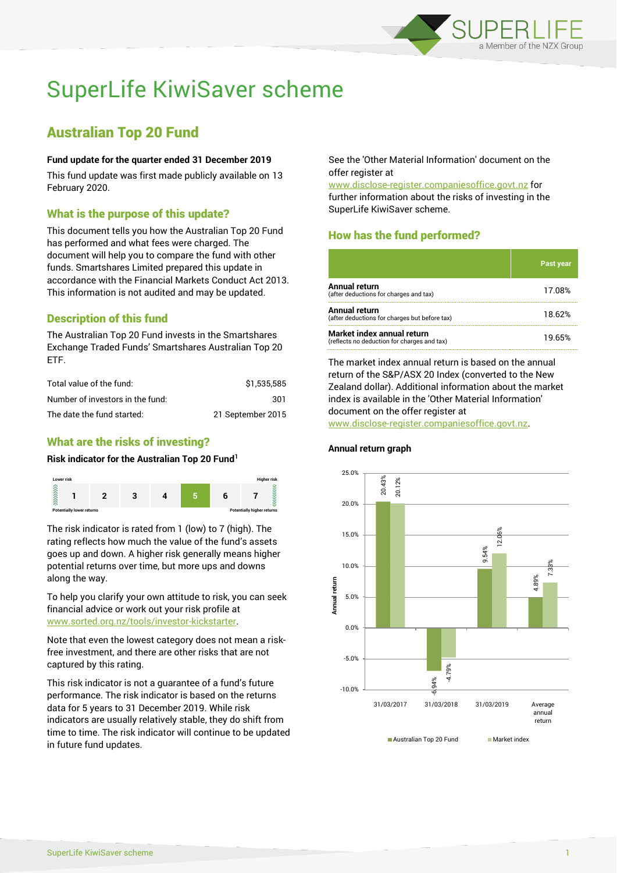

# SuperLife KiwiSaver scheme

## Australian Top 20 Fund

#### **Fund update for the quarter ended 31 December 2019**

This fund update was first made publicly available on 13 February 2020.

#### What is the purpose of this update?

This document tells you how the Australian Top 20 Fund has performed and what fees were charged. The document will help you to compare the fund with other funds. Smartshares Limited prepared this update in accordance with the Financial Markets Conduct Act 2013. This information is not audited and may be updated.

## Description of this fund

The Australian Top 20 Fund invests in the Smartshares Exchange Traded Funds' Smartshares Australian Top 20 ETF.

| Total value of the fund:         | \$1.535.585       |
|----------------------------------|-------------------|
| Number of investors in the fund: | 301               |
| The date the fund started:       | 21 September 2015 |

### What are the risks of investing?

#### **Risk indicator for the Australian Top 20 Fund<sup>1</sup>**



The risk indicator is rated from 1 (low) to 7 (high). The rating reflects how much the value of the fund's assets goes up and down. A higher risk generally means higher potential returns over time, but more ups and downs along the way.

To help you clarify your own attitude to risk, you can seek financial advice or work out your risk profile at [www.sorted.org.nz/tools/investor-kickstarter.](http://www.sorted.org.nz/tools/investor-kickstarter)

Note that even the lowest category does not mean a riskfree investment, and there are other risks that are not captured by this rating.

This risk indicator is not a guarantee of a fund's future performance. The risk indicator is based on the returns data for 5 years to 31 December 2019. While risk indicators are usually relatively stable, they do shift from time to time. The risk indicator will continue to be updated in future fund updates.

See the 'Other Material Information' document on the offer register at

www.disclose-register.companiesoffice.govt.nz for further information about the risks of investing in the SuperLife KiwiSaver scheme.

## How has the fund performed?

|                                                                           | <b>Past year</b> |
|---------------------------------------------------------------------------|------------------|
| Annual return<br>(after deductions for charges and tax)                   | 17.08%           |
| Annual return<br>(after deductions for charges but before tax)            | 18.62%           |
| Market index annual return<br>(reflects no deduction for charges and tax) | 19.65%           |

The market index annual return is based on the annual return of the S&P/ASX 20 Index (converted to the New Zealand dollar). Additional information about the market index is available in the 'Other Material Information' document on the offer register at www.disclose-register.companiesoffice.govt.nz.



#### **Annual return graph**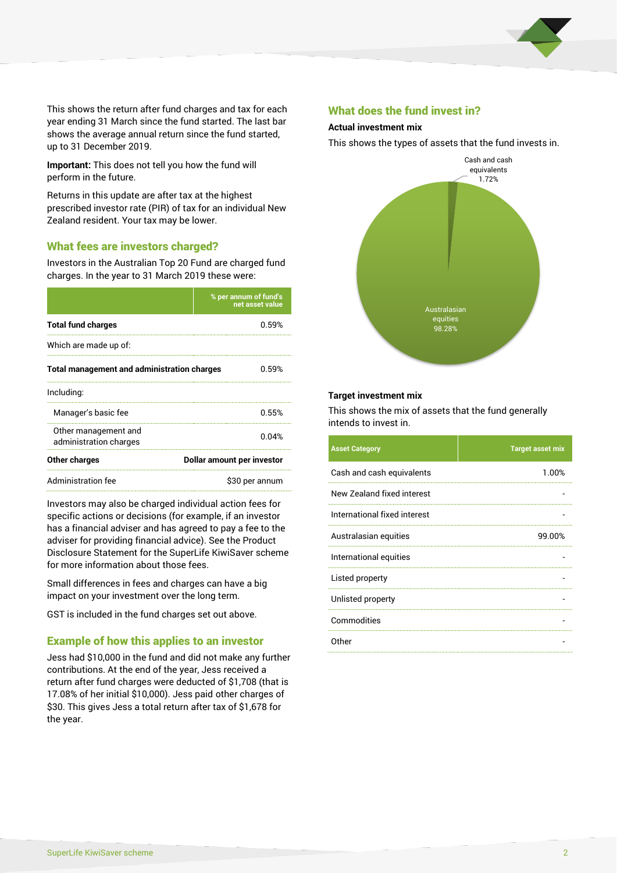

This shows the return after fund charges and tax for each year ending 31 March since the fund started. The last bar shows the average annual return since the fund started, up to 31 December 2019.

**Important:** This does not tell you how the fund will perform in the future.

Returns in this update are after tax at the highest prescribed investor rate (PIR) of tax for an individual New Zealand resident. Your tax may be lower.

#### What fees are investors charged?

Investors in the Australian Top 20 Fund are charged fund charges. In the year to 31 March 2019 these were:

|                                                    | % per annum of fund's<br>net asset value |  |
|----------------------------------------------------|------------------------------------------|--|
| <b>Total fund charges</b>                          | በ 59%                                    |  |
| Which are made up of:                              |                                          |  |
| <b>Total management and administration charges</b> | በ 59%                                    |  |
| Including:                                         |                                          |  |
| Manager's basic fee                                | 0.55%                                    |  |
| Other management and<br>administration charges     | 0.04%                                    |  |
| Other charges                                      | Dollar amount per investor               |  |
| Administration fee                                 | \$30 per annum                           |  |

Investors may also be charged individual action fees for specific actions or decisions (for example, if an investor has a financial adviser and has agreed to pay a fee to the adviser for providing financial advice). See the Product Disclosure Statement for the SuperLife KiwiSaver scheme for more information about those fees.

Small differences in fees and charges can have a big impact on your investment over the long term.

GST is included in the fund charges set out above.

#### Example of how this applies to an investor

Jess had \$10,000 in the fund and did not make any further contributions. At the end of the year, Jess received a return after fund charges were deducted of \$1,708 (that is 17.08% of her initial \$10,000). Jess paid other charges of \$30. This gives Jess a total return after tax of \$1,678 for the year.

#### What does the fund invest in?

#### **Actual investment mix**

This shows the types of assets that the fund invests in.



#### **Target investment mix**

This shows the mix of assets that the fund generally intends to invest in.

| <b>Asset Category</b>        | <b>Target asset mix</b> |
|------------------------------|-------------------------|
| Cash and cash equivalents    | 1.00%                   |
| New Zealand fixed interest   |                         |
| International fixed interest |                         |
| Australasian equities        | 99.00%                  |
| International equities       |                         |
| Listed property              |                         |
| Unlisted property            |                         |
| Commodities                  |                         |
| Other                        |                         |